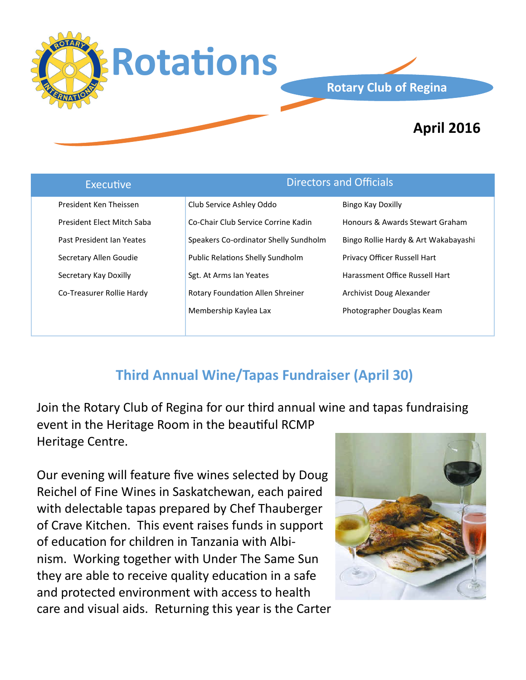

### **Rotary Club of Regina**

# **April 2016**

| <b>Executive</b>           | <b>Directors and Officials</b>          |                                      |
|----------------------------|-----------------------------------------|--------------------------------------|
| President Ken Theissen     | Club Service Ashley Oddo                | Bingo Kay Doxilly                    |
| President Elect Mitch Saba | Co-Chair Club Service Corrine Kadin     | Honours & Awards Stewart Graham      |
| Past President Ian Yeates  | Speakers Co-ordinator Shelly Sundholm   | Bingo Rollie Hardy & Art Wakabayashi |
| Secretary Allen Goudie     | <b>Public Relations Shelly Sundholm</b> | <b>Privacy Officer Russell Hart</b>  |
| Secretary Kay Doxilly      | Sgt. At Arms Ian Yeates                 | Harassment Office Russell Hart       |
| Co-Treasurer Rollie Hardy  | Rotary Foundation Allen Shreiner        | Archivist Doug Alexander             |
|                            | Membership Kaylea Lax                   | Photographer Douglas Keam            |

## **Third Annual Wine/Tapas Fundraiser (April 30)**

Join the Rotary Club of Regina for our third annual wine and tapas fundraising event in the Heritage Room in the beautiful RCMP Heritage Centre.

Our evening will feature five wines selected by Doug Reichel of Fine Wines in Saskatchewan, each paired with delectable tapas prepared by Chef Thauberger of Crave Kitchen. This event raises funds in support of education for children in Tanzania with Albinism. Working together with Under The Same Sun they are able to receive quality education in a safe and protected environment with access to health care and visual aids. Returning this year is the Carter

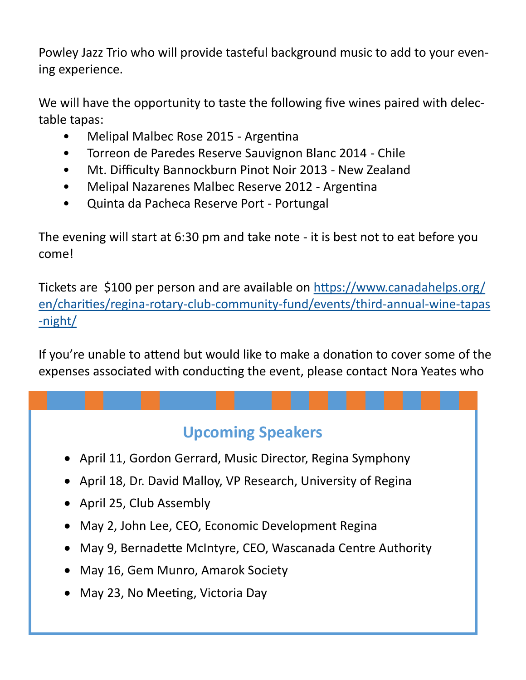Powley Jazz Trio who will provide tasteful background music to add to your evening experience.

We will have the opportunity to taste the following five wines paired with delectable tapas:

- Melipal Malbec Rose 2015 Argentina
- Torreon de Paredes Reserve Sauvignon Blanc 2014 Chile
- Mt. Difficulty Bannockburn Pinot Noir 2013 New Zealand
- Melipal Nazarenes Malbec Reserve 2012 Argentina
- Quinta da Pacheca Reserve Port Portungal

The evening will start at 6:30 pm and take note - it is best not to eat before you come!

Tickets are \$100 per person and are available on [https://www.canadahelps.org/](https://www.canadahelps.org/en/charities/regina-rotary-club-community-fund/events/third-annual-wine-tapas-night/) [en/charities/regina](https://www.canadahelps.org/en/charities/regina-rotary-club-community-fund/events/third-annual-wine-tapas-night/)-rotary-club-community-fund/events/third-annual-wine-tapas -[night/](https://www.canadahelps.org/en/charities/regina-rotary-club-community-fund/events/third-annual-wine-tapas-night/)

If you're unable to attend but would like to make a donation to cover some of the expenses associated with conducting the event, please contact Nora Yeates who

# **Upcoming Speakers**

- April 11, Gordon Gerrard, Music Director, Regina Symphony
- April 18, Dr. David Malloy, VP Research, University of Regina
- April 25, Club Assembly
- May 2, John Lee, CEO, Economic Development Regina
- May 9, Bernadette McIntyre, CEO, Wascanada Centre Authority
- May 16, Gem Munro, Amarok Society
- May 23, No Meeting, Victoria Day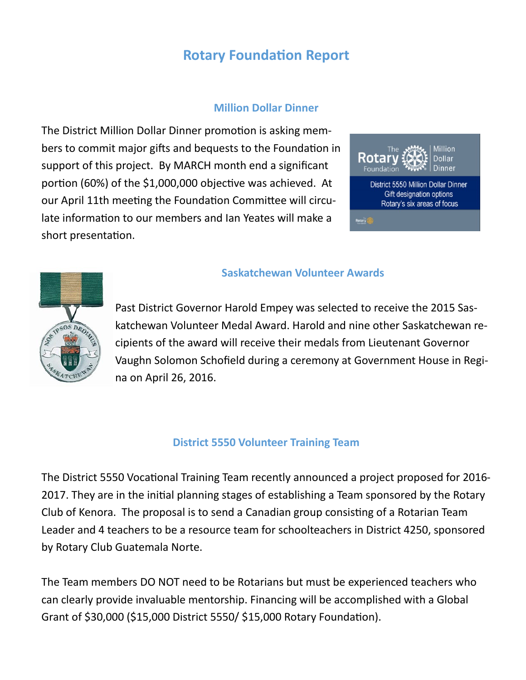### **Rotary Foundation Report**

#### **Million Dollar Dinner**

The District Million Dollar Dinner promotion is asking members to commit major gifts and bequests to the Foundation in support of this project. By MARCH month end a significant portion (60%) of the \$1,000,000 objective was achieved. At our April 11th meeting the Foundation Committee will circulate information to our members and Ian Yeates will make a short presentation.





#### **Saskatchewan Volunteer Awards**

Past District Governor Harold Empey was selected to receive the 2015 Saskatchewan Volunteer Medal Award. Harold and nine other Saskatchewan recipients of the award will receive their medals from Lieutenant Governor Vaughn Solomon Schofield during a ceremony at Government House in Regina on April 26, 2016.

#### **District 5550 Volunteer Training Team**

The District 5550 Vocational Training Team recently announced a project proposed for 2016- 2017. They are in the initial planning stages of establishing a Team sponsored by the Rotary Club of Kenora. The proposal is to send a Canadian group consisting of a Rotarian Team Leader and 4 teachers to be a resource team for schoolteachers in District 4250, sponsored by Rotary Club Guatemala Norte.

The Team members DO NOT need to be Rotarians but must be experienced teachers who can clearly provide invaluable mentorship. Financing will be accomplished with a Global Grant of \$30,000 (\$15,000 District 5550/ \$15,000 Rotary Foundation).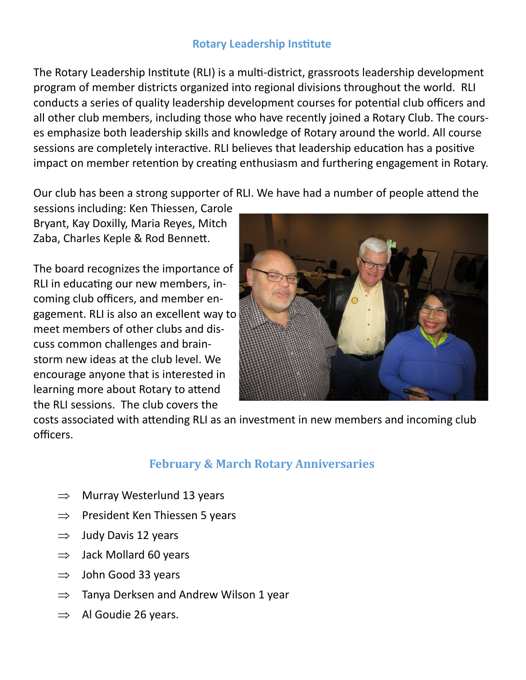#### **Rotary Leadership Institute**

The Rotary Leadership Institute (RLI) is a multi-district, grassroots leadership development program of member districts organized into regional divisions throughout the world. RLI conducts a series of quality leadership development courses for potential club officers and all other club members, including those who have recently joined a Rotary Club. The courses emphasize both leadership skills and knowledge of Rotary around the world. All course sessions are completely interactive. RLI believes that leadership education has a positive impact on member retention by creating enthusiasm and furthering engagement in Rotary.

Our club has been a strong supporter of RLI. We have had a number of people attend the

sessions including: Ken Thiessen, Carole Bryant, Kay Doxilly, Maria Reyes, Mitch Zaba, Charles Keple & Rod Bennett.

The board recognizes the importance of RLI in educating our new members, incoming club officers, and member engagement. RLI is also an excellent way to meet members of other clubs and discuss common challenges and brainstorm new ideas at the club level. We encourage anyone that is interested in learning more about Rotary to attend the RLI sessions. The club covers the



costs associated with attending RLI as an investment in new members and incoming club officers.

### **February & March Rotary Anniversaries**

- $\Rightarrow$  Murray Westerlund 13 years
- $\Rightarrow$  President Ken Thiessen 5 years
- $\Rightarrow$  Judy Davis 12 years
- $\Rightarrow$  Jack Mollard 60 years
- $\Rightarrow$  John Good 33 years
- $\Rightarrow$  Tanya Derksen and Andrew Wilson 1 year
- $\Rightarrow$  Al Goudie 26 years.